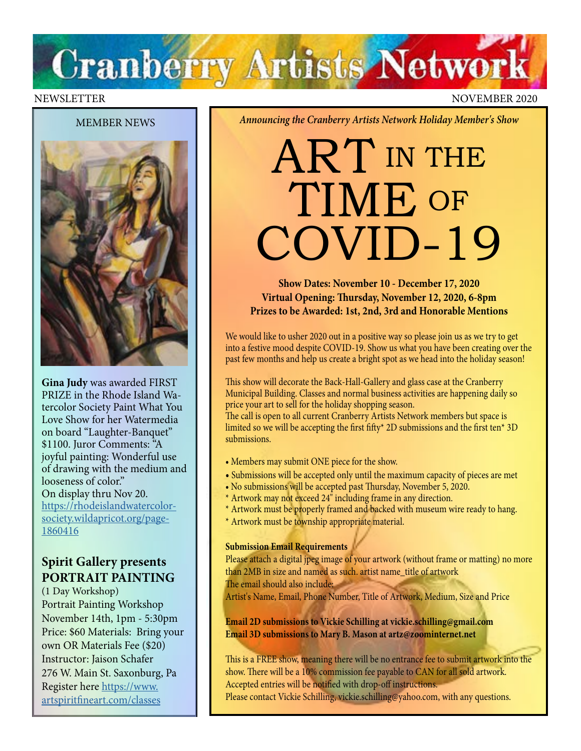# **Cranberry Artists Network**

#### NEWSLETTER NOVEMBER 2020

#### MEMBER NEWS



**Gina Judy** was awarded FIRST PRIZE in the Rhode Island Watercolor Society Paint What You Love Show for her Watermedia on board "Laughter-Banquet" \$1100. Juror Comments: "A joyful painting: Wonderful use of drawing with the medium and looseness of color." On display thru Nov 20. [https://rhodeislandwatercolor](https://rhodeislandwatercolorsociety.wildapricot.org/page-1860416)[society.wildapricot.org/page-](https://rhodeislandwatercolorsociety.wildapricot.org/page-1860416)[1860416](https://rhodeislandwatercolorsociety.wildapricot.org/page-1860416)

## **Spirit Gallery presents PORTRAIT PAINTING**

(1 Day Workshop) Portrait Painting Workshop November 14th, 1pm - 5:30pm Price: \$60 Materials: Bring your own OR Materials Fee (\$20) Instructor: Jaison Schafer 276 W. Main St. Saxonburg, Pa Register here [https://www.](https://www.artspiritfineart.com/classes) [artspiritfineart.com/classes](https://www.artspiritfineart.com/classes)

#### *Announcing the Cranberry Artists Network Holiday Member's Show*

## ART IN THE TIME OF COVID-19

**Show Dates: November 10 - December 17, 2020 Virtual Opening: Thursday, November 12, 2020, 6-8pm Prizes to be Awarded: 1st, 2nd, 3rd and Honorable Mentions** 

We would like to usher 2020 out in a positive way so please join us as we try to get into a festive mood despite COVID-19. Show us what you have been creating over the past few months and help us create a bright spot as we head into the holiday season!

This show will decorate the Back-Hall-Gallery and glass case at the Cranberry Municipal Building. Classes and normal business activities are happening daily so price your art to sell for the holiday shopping season.

The call is open to all current Cranberry Artists Network members but space is limited so we will be accepting the first fifty\* 2D submissions and the first ten\* 3D submissions.

- Members may submit ONE piece for the show.
- Submissions will be accepted only until the maximum capacity of pieces are met
- No submissions will be accepted past Thursday, November 5, 2020.
- \* Artwork may not exceed 24" including frame in any direction.
- \* Artwork must be properly framed and backed with museum wire ready to hang.
- \* Artwork must be township appropriate material.

#### **Submission Email Requirements**

Please attach a digital jpeg image of your artwork (without frame or matting) no more than 2MB in size and named as such. artist name\_title of artwork

The email should also include:

Artist's Name, Email, Phone Number, Title of Artwork, Medium, Size and Price

**Email 2D submissions to Vickie Schilling at vickie.schilling@gmail.com Email 3D submissions to Mary B. Mason at artz@zoominternet.net**

This is a FREE show, meaning there will be no entrance fee to submit artwork into the show. There will be a 10% commission fee payable to CAN for all sold artwork. Accepted entries will be notified with drop-off instructions. Please contact Vickie Schilling, vickie.schilling@yahoo.com, with any questions.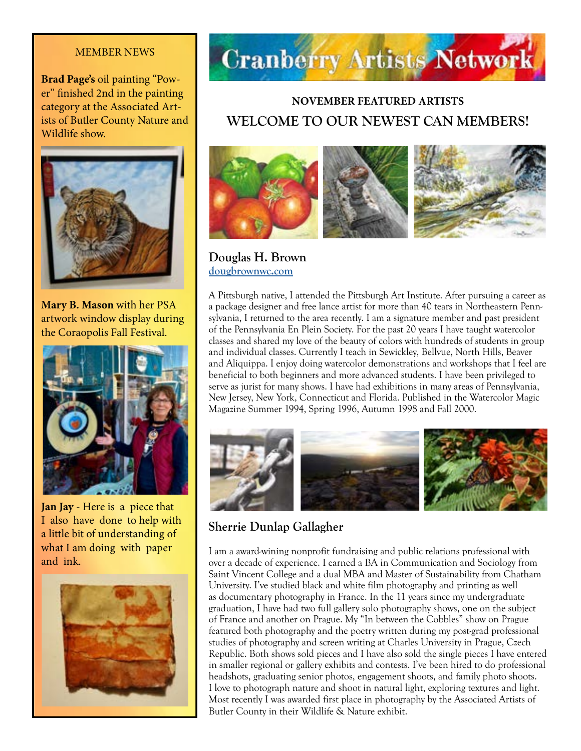#### MEMBER NEWS

**Brad Page's** oil painting "Power" finished 2nd in the painting category at the Associated Artists of Butler County Nature and Wildlife show.



**Mary B. Mason** with her PSA artwork window display during the Coraopolis Fall Festival.



**Jan Jay** - Here is a piece that I also have done to help with a little bit of understanding of what I am doing with paper and ink.





## **NOVEMBER FEATURED ARTISTS WELCOME TO OUR NEWEST CAN MEMBERS!**



**Douglas H. Brown [dougbrownwc.com](http://dougbrownwc.com)**

A Pittsburgh native, I attended the Pittsburgh Art Institute. After pursuing a career as a package designer and free lance artist for more than 40 tears in Northeastern Pennsylvania, I returned to the area recently. I am a signature member and past president of the Pennsylvania En Plein Society. For the past 20 years I have taught watercolor classes and shared my love of the beauty of colors with hundreds of students in group and individual classes. Currently I teach in Sewickley, Bellvue, North Hills, Beaver and Aliquippa. I enjoy doing watercolor demonstrations and workshops that I feel are beneficial to both beginners and more advanced students. I have been privileged to serve as jurist for many shows. I have had exhibitions in many areas of Pennsylvania, New Jersey, New York, Connecticut and Florida. Published in the Watercolor Magic Magazine Summer 1994, Spring 1996, Autumn 1998 and Fall 2000.



## **Sherrie Dunlap Gallagher**

I am a award-wining nonprofit fundraising and public relations professional with over a decade of experience. I earned a BA in Communication and Sociology from Saint Vincent College and a dual MBA and Master of Sustainability from Chatham University. I've studied black and white film photography and printing as well as documentary photography in France. In the 11 years since my undergraduate graduation, I have had two full gallery solo photography shows, one on the subject of France and another on Prague. My "In between the Cobbles" show on Prague featured both photography and the poetry written during my post-grad professional studies of photography and screen writing at Charles University in Prague, Czech Republic. Both shows sold pieces and I have also sold the single pieces I have entered in smaller regional or gallery exhibits and contests. I've been hired to do professional headshots, graduating senior photos, engagement shoots, and family photo shoots. I love to photograph nature and shoot in natural light, exploring textures and light. Most recently I was awarded first place in photography by the Associated Artists of Butler County in their Wildlife & Nature exhibit.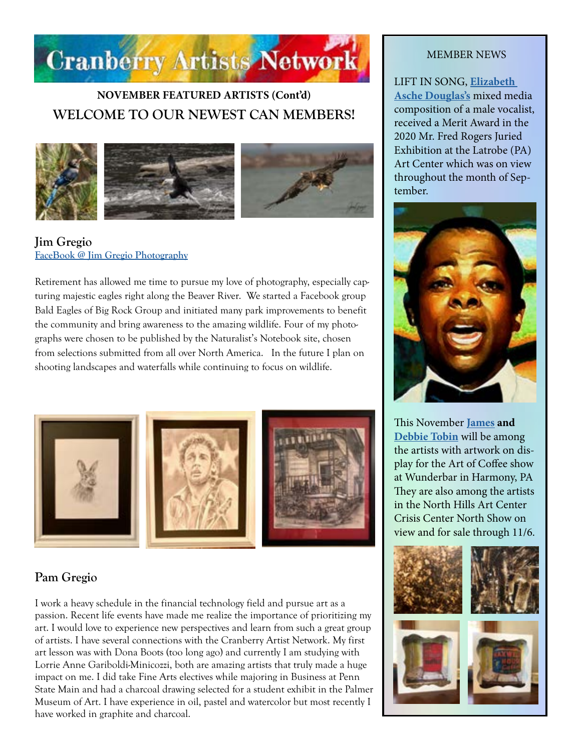

## **NOVEMBER FEATURED ARTISTS (Cont'd) WELCOME TO OUR NEWEST CAN MEMBERS!**



#### **Jim Gregio [FaceBook @ Jim Gregio Photography](https://www.facebook.com/Jim-Gregio-Photography-110173990696605/)**

Retirement has allowed me time to pursue my love of photography, especially capturing majestic eagles right along the Beaver River. We started a Facebook group Bald Eagles of Big Rock Group and initiated many park improvements to benefit the community and bring awareness to the amazing wildlife. Four of my photographs were chosen to be published by the Naturalist's Notebook site, chosen from selections submitted from all over North America. In the future I plan on shooting landscapes and waterfalls while continuing to focus on wildlife.



## **Pam Gregio**

I work a heavy schedule in the financial technology field and pursue art as a passion. Recent life events have made me realize the importance of prioritizing my art. I would love to experience new perspectives and learn from such a great group of artists. I have several connections with the Cranberry Artist Network. My first art lesson was with Dona Boots (too long ago) and currently I am studying with Lorrie Anne Gariboldi-Minicozzi, both are amazing artists that truly made a huge impact on me. I did take Fine Arts electives while majoring in Business at Penn State Main and had a charcoal drawing selected for a student exhibit in the Palmer Museum of Art. I have experience in oil, pastel and watercolor but most recently I have worked in graphite and charcoal.

#### MEMBER NEWS

LIFT IN SONG, **[Elizabeth](http://douglasartgallery.com/)  [Asche Douglas's](http://douglasartgallery.com/)** mixed media composition of a male vocalist, received a Merit Award in the 2020 Mr. Fred Rogers Juried Exhibition at the Latrobe (PA) Art Center which was on view throughout the month of September.



This November **[James](http://jamestobinart.com) and [Debbie Tobin](http://debratobinart.com)** will be among the artists with artwork on display for the Art of Coffee show at Wunderbar in Harmony, PA They are also among the artists in the North Hills Art Center Crisis Center North Show on view and for sale through 11/6.

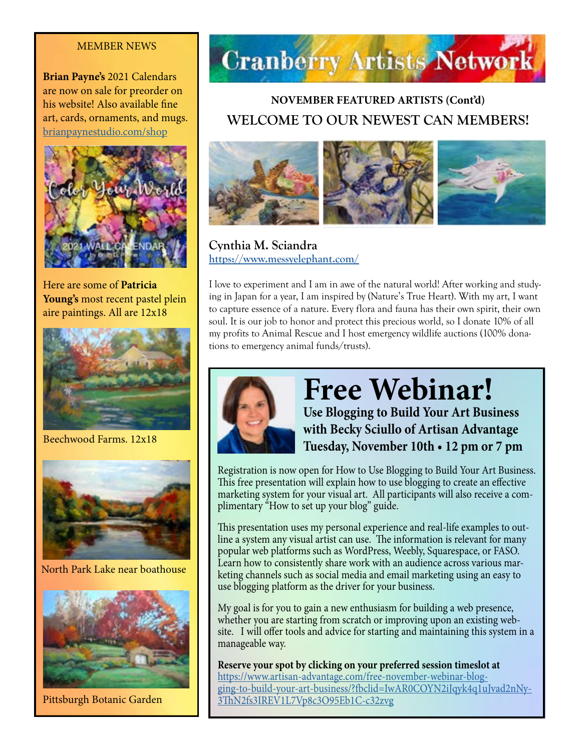#### MEMBER NEWS

**Brian Payne's** 2021 Calendars are now on sale for preorder on his website! Also available fine art, cards, ornaments, and mugs. [brianpaynestudio.com/shop](http://brianpaynestudio.com/shop)



Here are some of **Patricia Young's** most recent pastel plein aire paintings. All are 12x18



Beechwood Farms. 12x18



North Park Lake near boathouse



Pittsburgh Botanic Garden



## **NOVEMBER FEATURED ARTISTS (Cont'd) WELCOME TO OUR NEWEST CAN MEMBERS!**



**Cynthia M. Sciandra <https://www.messyelephant.com/>**

I love to experiment and I am in awe of the natural world! After working and studying in Japan for a year, I am inspired by (Nature's True Heart). With my art, I want to capture essence of a nature. Every flora and fauna has their own spirit, their own soul. It is our job to honor and protect this precious world, so I donate 10% of all my profits to Animal Rescue and I host emergency wildlife auctions (100% donations to emergency animal funds/trusts).



## **Free Webinar! Use Blogging to Build Your Art Business with Becky Sciullo of Artisan Advantage Tuesday, November 10th • 12 pm or 7 pm**

Registration is now open for How to Use Blogging to Build Your Art Business. This free presentation will explain how to use blogging to create an effective marketing system for your visual art. All participants will also receive a complimentary "How to set up your blog" guide.

This presentation uses my personal experience and real-life examples to outline a system any visual artist can use. The information is relevant for many popular web platforms such as WordPress, Weebly, Squarespace, or FASO. Learn how to consistently share work with an audience across various marketing channels such as social media and email marketing using an easy to use blogging platform as the driver for your business.

My goal is for you to gain a new enthusiasm for building a web presence, whether you are starting from scratch or improving upon an existing website. I will offer tools and advice for starting and maintaining this system in a manageable way.

**Reserve your spot by clicking on your preferred session timeslot at** [https://www.artisan-advantage.com/free-november-webinar-blog](https://www.artisan-advantage.com/free-november-webinar-blogging-to-build-your-art-business/?fbclid=IwAR0COYN2iJqyk4q1uJvad2nNy3ThN2fs3IREV1L7Vp8c3O95Eb1C-c32zvg)[ging-to-build-your-art-business/?fbclid=IwAR0COYN2iJqyk4q1uJvad2nNy-](https://www.artisan-advantage.com/free-november-webinar-blogging-to-build-your-art-business/?fbclid=IwAR0COYN2iJqyk4q1uJvad2nNy3ThN2fs3IREV1L7Vp8c3O95Eb1C-c32zvg)[3ThN2fs3IREV1L7Vp8c3O95Eb1C-c32zvg](https://www.artisan-advantage.com/free-november-webinar-blogging-to-build-your-art-business/?fbclid=IwAR0COYN2iJqyk4q1uJvad2nNy3ThN2fs3IREV1L7Vp8c3O95Eb1C-c32zvg)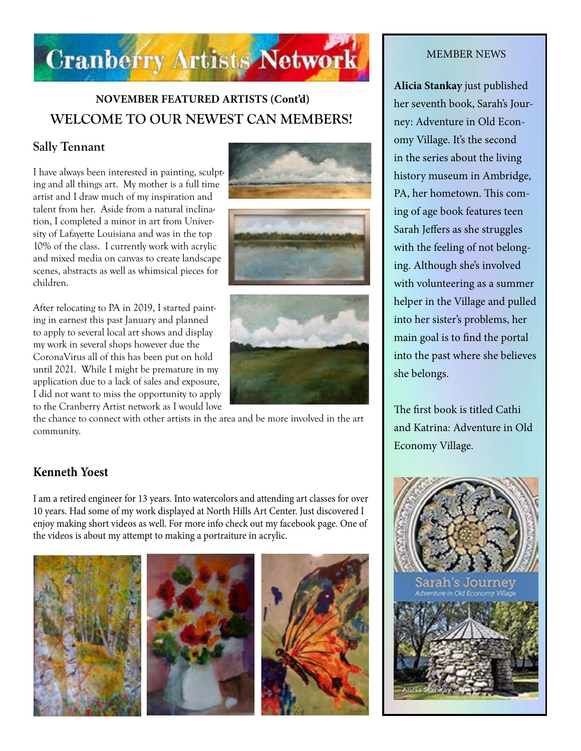

## **NOVEMBER FEATURED ARTISTS (Cont'd) WELCOME TO OUR NEWEST CAN MEMBERS!**

## **Sally Tennant**

I have always been interested in painting, sculpting and all things art. My mother is a full time artist and I draw much of my inspiration and talent from her. Aside from a natural inclination, I completed a minor in art from University of Lafayette Louisiana and was in the top 10% of the class. I currently work with acrylic and mixed media on canvas to create landscape scenes, abstracts as well as whimsical pieces for children.

After relocating to PA in 2019, I started painting in earnest this past January and planned to apply to several local art shows and display my work in several shops however due the CoronaVirus all of this has been put on hold until 2021. While I might be premature in my application due to a lack of sales and exposure, I did not want to miss the opportunity to apply to the Cranberry Artist network as I would love







the chance to connect with other artists in the area and be more involved in the art community.

### **Kenneth Yoest**

I am a retired engineer for 13 years. Into watercolors and attending art classes for over 10 years. Had some of my work displayed at North Hills Art Center. Just discovered I enjoy making short videos as well. For more info check out my facebook page. One of the videos is about my attempt to making a portraiture in acrylic.





#### MEMBER NEWS

**Alicia Stankay** just published her seventh book, Sarah's Journey: Adventure in Old Economy Village. It's the second in the series about the living history museum in Ambridge, PA, her hometown. This coming of age book features teen Sarah Jeffers as she struggles with the feeling of not belonging. Although she's involved with volunteering as a summer helper in the Village and pulled into her sister's problems, her main goal is to find the portal into the past where she believes she belongs.

The first book is titled Cathi and Katrina: Adventure in Old Economy Village.